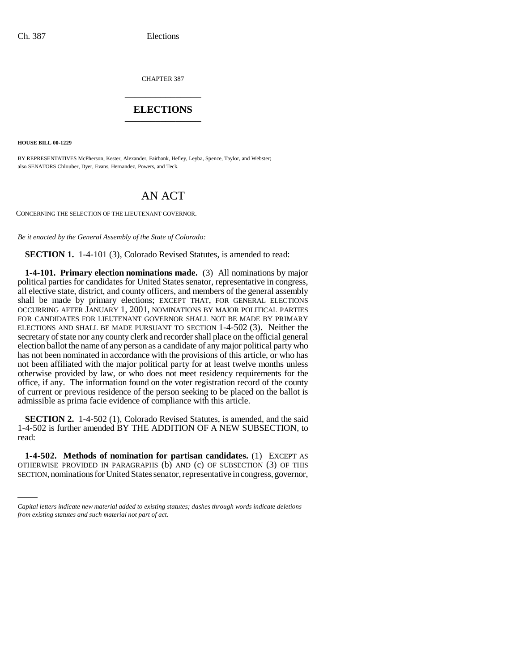CHAPTER 387 \_\_\_\_\_\_\_\_\_\_\_\_\_\_\_

## **ELECTIONS** \_\_\_\_\_\_\_\_\_\_\_\_\_\_\_

**HOUSE BILL 00-1229** 

BY REPRESENTATIVES McPherson, Kester, Alexander, Fairbank, Hefley, Leyba, Spence, Taylor, and Webster; also SENATORS Chlouber, Dyer, Evans, Hernandez, Powers, and Teck.

## AN ACT

CONCERNING THE SELECTION OF THE LIEUTENANT GOVERNOR.

*Be it enacted by the General Assembly of the State of Colorado:*

**SECTION 1.** 1-4-101 (3), Colorado Revised Statutes, is amended to read:

**1-4-101. Primary election nominations made.** (3) All nominations by major political parties for candidates for United States senator, representative in congress, all elective state, district, and county officers, and members of the general assembly shall be made by primary elections; EXCEPT THAT, FOR GENERAL ELECTIONS OCCURRING AFTER JANUARY 1, 2001, NOMINATIONS BY MAJOR POLITICAL PARTIES FOR CANDIDATES FOR LIEUTENANT GOVERNOR SHALL NOT BE MADE BY PRIMARY ELECTIONS AND SHALL BE MADE PURSUANT TO SECTION 1-4-502 (3). Neither the secretary of state nor any county clerk and recorder shall place on the official general election ballot the name of any person as a candidate of any major political party who has not been nominated in accordance with the provisions of this article, or who has not been affiliated with the major political party for at least twelve months unless otherwise provided by law, or who does not meet residency requirements for the office, if any. The information found on the voter registration record of the county of current or previous residence of the person seeking to be placed on the ballot is admissible as prima facie evidence of compliance with this article.

**SECTION 2.** 1-4-502 (1), Colorado Revised Statutes, is amended, and the said 1-4-502 is further amended BY THE ADDITION OF A NEW SUBSECTION, to read:

**1-4-502.** Methods of nomination for partisan candidates. (1) EXCEPT AS OTHERWISE PROVIDED IN PARAGRAPHS (b) AND (c) OF SUBSECTION (3) OF THIS **1-4-502. Methods of nomination for partisan candidates.** (1) EXCEPT AS SECTION, nominations for United States senator, representative in congress, governor,

*Capital letters indicate new material added to existing statutes; dashes through words indicate deletions from existing statutes and such material not part of act.*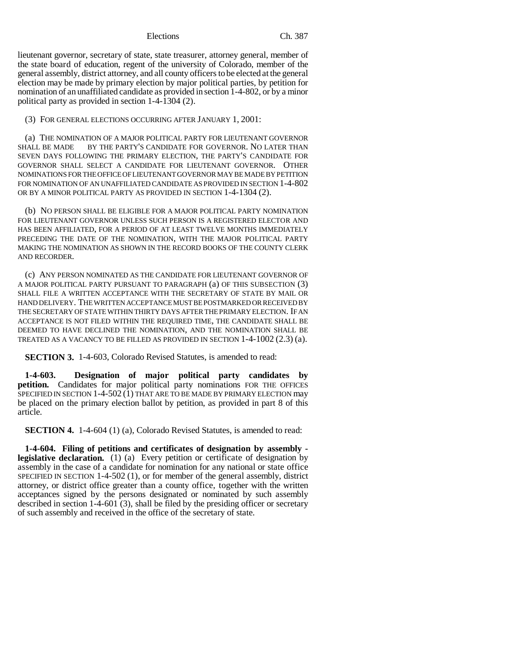Elections Ch. 387

lieutenant governor, secretary of state, state treasurer, attorney general, member of the state board of education, regent of the university of Colorado, member of the general assembly, district attorney, and all county officers to be elected at the general election may be made by primary election by major political parties, by petition for nomination of an unaffiliated candidate as provided in section 1-4-802, or by a minor political party as provided in section 1-4-1304 (2).

(3) FOR GENERAL ELECTIONS OCCURRING AFTER JANUARY 1, 2001:

(a) THE NOMINATION OF A MAJOR POLITICAL PARTY FOR LIEUTENANT GOVERNOR SHALL BE MADE BY THE PARTY'S CANDIDATE FOR GOVERNOR. NO LATER THAN SEVEN DAYS FOLLOWING THE PRIMARY ELECTION, THE PARTY'S CANDIDATE FOR GOVERNOR SHALL SELECT A CANDIDATE FOR LIEUTENANT GOVERNOR. OTHER NOMINATIONS FOR THE OFFICE OF LIEUTENANT GOVERNOR MAY BE MADE BY PETITION FOR NOMINATION OF AN UNAFFILIATED CANDIDATE AS PROVIDED IN SECTION 1-4-802 OR BY A MINOR POLITICAL PARTY AS PROVIDED IN SECTION 1-4-1304 (2).

(b) NO PERSON SHALL BE ELIGIBLE FOR A MAJOR POLITICAL PARTY NOMINATION FOR LIEUTENANT GOVERNOR UNLESS SUCH PERSON IS A REGISTERED ELECTOR AND HAS BEEN AFFILIATED, FOR A PERIOD OF AT LEAST TWELVE MONTHS IMMEDIATELY PRECEDING THE DATE OF THE NOMINATION, WITH THE MAJOR POLITICAL PARTY MAKING THE NOMINATION AS SHOWN IN THE RECORD BOOKS OF THE COUNTY CLERK AND RECORDER.

(c) ANY PERSON NOMINATED AS THE CANDIDATE FOR LIEUTENANT GOVERNOR OF A MAJOR POLITICAL PARTY PURSUANT TO PARAGRAPH (a) OF THIS SUBSECTION (3) SHALL FILE A WRITTEN ACCEPTANCE WITH THE SECRETARY OF STATE BY MAIL OR HAND DELIVERY. THE WRITTEN ACCEPTANCE MUST BE POSTMARKED OR RECEIVED BY THE SECRETARY OF STATE WITHIN THIRTY DAYS AFTER THE PRIMARY ELECTION. IF AN ACCEPTANCE IS NOT FILED WITHIN THE REQUIRED TIME, THE CANDIDATE SHALL BE DEEMED TO HAVE DECLINED THE NOMINATION, AND THE NOMINATION SHALL BE TREATED AS A VACANCY TO BE FILLED AS PROVIDED IN SECTION 1-4-1002 (2.3) (a).

**SECTION 3.** 1-4-603, Colorado Revised Statutes, is amended to read:

**1-4-603. Designation of major political party candidates by petition.** Candidates for major political party nominations FOR THE OFFICES SPECIFIED IN SECTION 1-4-502 (1) THAT ARE TO BE MADE BY PRIMARY ELECTION may be placed on the primary election ballot by petition, as provided in part 8 of this article.

**SECTION 4.** 1-4-604 (1) (a), Colorado Revised Statutes, is amended to read:

**1-4-604. Filing of petitions and certificates of designation by assembly legislative declaration.** (1) (a) Every petition or certificate of designation by assembly in the case of a candidate for nomination for any national or state office SPECIFIED IN SECTION 1-4-502 (1), or for member of the general assembly, district attorney, or district office greater than a county office, together with the written acceptances signed by the persons designated or nominated by such assembly described in section 1-4-601 (3), shall be filed by the presiding officer or secretary of such assembly and received in the office of the secretary of state.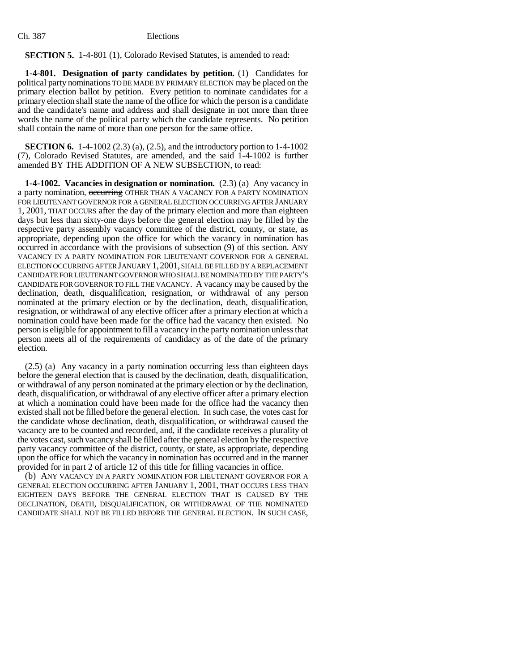## **SECTION 5.** 1-4-801 (1), Colorado Revised Statutes, is amended to read:

**1-4-801. Designation of party candidates by petition.** (1) Candidates for political party nominations TO BE MADE BY PRIMARY ELECTION may be placed on the primary election ballot by petition. Every petition to nominate candidates for a primary election shall state the name of the office for which the person is a candidate and the candidate's name and address and shall designate in not more than three words the name of the political party which the candidate represents. No petition shall contain the name of more than one person for the same office.

**SECTION 6.** 1-4-1002 (2.3) (a), (2.5), and the introductory portion to 1-4-1002 (7), Colorado Revised Statutes, are amended, and the said 1-4-1002 is further amended BY THE ADDITION OF A NEW SUBSECTION, to read:

**1-4-1002. Vacancies in designation or nomination.** (2.3) (a) Any vacancy in a party nomination, occurring OTHER THAN A VACANCY FOR A PARTY NOMINATION FOR LIEUTENANT GOVERNOR FOR A GENERAL ELECTION OCCURRING AFTER JANUARY 1, 2001, THAT OCCURS after the day of the primary election and more than eighteen days but less than sixty-one days before the general election may be filled by the respective party assembly vacancy committee of the district, county, or state, as appropriate, depending upon the office for which the vacancy in nomination has occurred in accordance with the provisions of subsection (9) of this section. ANY VACANCY IN A PARTY NOMINATION FOR LIEUTENANT GOVERNOR FOR A GENERAL ELECTION OCCURRING AFTER JANUARY 1,2001, SHALL BE FILLED BY A REPLACEMENT CANDIDATE FOR LIEUTENANT GOVERNOR WHO SHALL BE NOMINATED BY THE PARTY'S CANDIDATE FOR GOVERNOR TO FILL THE VACANCY. A vacancy may be caused by the declination, death, disqualification, resignation, or withdrawal of any person nominated at the primary election or by the declination, death, disqualification, resignation, or withdrawal of any elective officer after a primary election at which a nomination could have been made for the office had the vacancy then existed. No person is eligible for appointment to fill a vacancy in the party nomination unless that person meets all of the requirements of candidacy as of the date of the primary election.

(2.5) (a) Any vacancy in a party nomination occurring less than eighteen days before the general election that is caused by the declination, death, disqualification, or withdrawal of any person nominated at the primary election or by the declination, death, disqualification, or withdrawal of any elective officer after a primary election at which a nomination could have been made for the office had the vacancy then existed shall not be filled before the general election. In such case, the votes cast for the candidate whose declination, death, disqualification, or withdrawal caused the vacancy are to be counted and recorded, and, if the candidate receives a plurality of the votes cast, such vacancy shall be filled after the general election by the respective party vacancy committee of the district, county, or state, as appropriate, depending upon the office for which the vacancy in nomination has occurred and in the manner provided for in part 2 of article 12 of this title for filling vacancies in office.

(b) ANY VACANCY IN A PARTY NOMINATION FOR LIEUTENANT GOVERNOR FOR A GENERAL ELECTION OCCURRING AFTER JANUARY 1, 2001, THAT OCCURS LESS THAN EIGHTEEN DAYS BEFORE THE GENERAL ELECTION THAT IS CAUSED BY THE DECLINATION, DEATH, DISQUALIFICATION, OR WITHDRAWAL OF THE NOMINATED CANDIDATE SHALL NOT BE FILLED BEFORE THE GENERAL ELECTION. IN SUCH CASE,